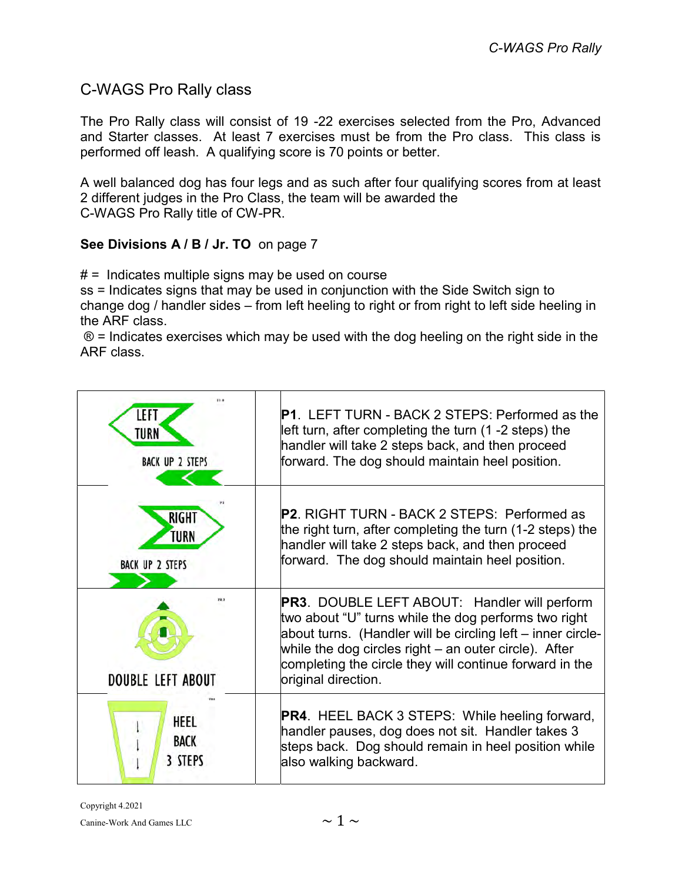## C-WAGS Pro Rally class

The Pro Rally class will consist of 19 -22 exercises selected from the Pro, Advanced and Starter classes. At least 7 exercises must be from the Pro class. This class is performed off leash. A qualifying score is 70 points or better.

A well balanced dog has four legs and as such after four qualifying scores from at least 2 different judges in the Pro Class, the team will be awarded the C-WAGS Pro Rally title of CW-PR.

## See Divisions A / B / Jr. TO on page 7

 $# =$  Indicates multiple signs may be used on course

ss = Indicates signs that may be used in conjunction with the Side Switch sign to change dog / handler sides – from left heeling to right or from right to left side heeling in the ARF class.

 $\circledR$  = Indicates exercises which may be used with the dog heeling on the right side in the ARF class.

| IFF<br>TURN<br><b>BACK UP 2 STEPS</b>          | <b>P1. LEFT TURN - BACK 2 STEPS: Performed as the</b><br>left turn, after completing the turn (1 -2 steps) the<br>handler will take 2 steps back, and then proceed<br>forward. The dog should maintain heel position.                                                                                                   |
|------------------------------------------------|-------------------------------------------------------------------------------------------------------------------------------------------------------------------------------------------------------------------------------------------------------------------------------------------------------------------------|
| <b>RIGHT</b><br>TURN<br><b>BACK UP 2 STEPS</b> | <b>P2.</b> RIGHT TURN - BACK 2 STEPS: Performed as<br>the right turn, after completing the turn (1-2 steps) the<br>handler will take 2 steps back, and then proceed<br>forward. The dog should maintain heel position.                                                                                                  |
| <b>DOUBLE LEFT ABOUT</b>                       | <b>PR3. DOUBLE LEFT ABOUT: Handler will perform</b><br>two about "U" turns while the dog performs two right<br>about turns. (Handler will be circling left – inner circle-<br>while the dog circles right $-$ an outer circle). After<br>completing the circle they will continue forward in the<br>original direction. |
| HEEL<br><b>BACK</b><br>3 STEPS                 | <b>PR4.</b> HEEL BACK 3 STEPS: While heeling forward,<br>handler pauses, dog does not sit. Handler takes 3<br>steps back. Dog should remain in heel position while<br>also walking backward.                                                                                                                            |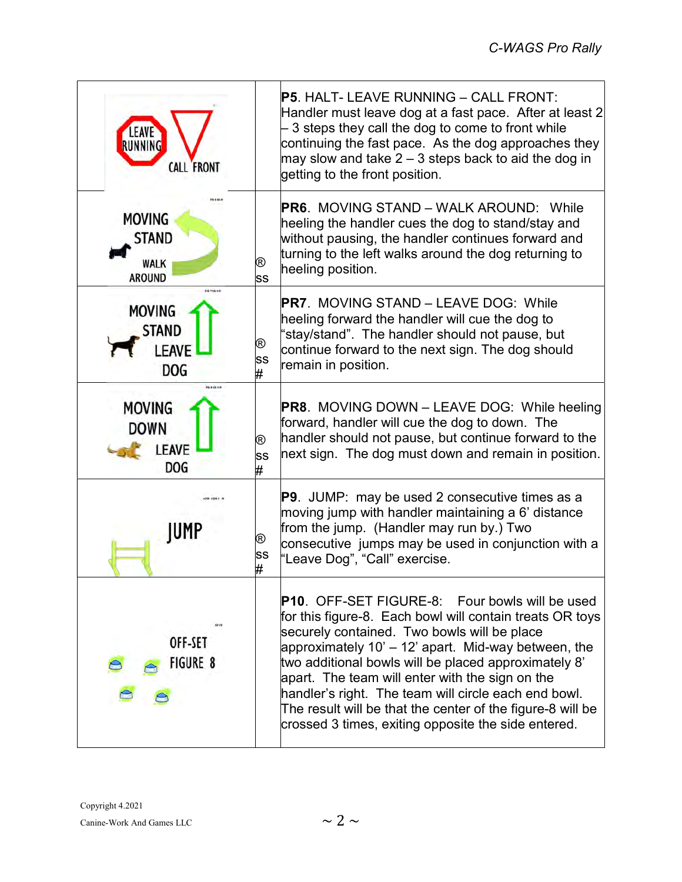| <b>CALL FRONT</b>                                             |              | <b>P5. HALT- LEAVE RUNNING – CALL FRONT:</b><br>Handler must leave dog at a fast pace. After at least 2<br>3 steps they call the dog to come to front while<br>continuing the fast pace. As the dog approaches they<br>may slow and take $2-3$ steps back to aid the dog in<br>getting to the front position.                                                                                                                                                                                                   |
|---------------------------------------------------------------|--------------|-----------------------------------------------------------------------------------------------------------------------------------------------------------------------------------------------------------------------------------------------------------------------------------------------------------------------------------------------------------------------------------------------------------------------------------------------------------------------------------------------------------------|
| <b>MOVING</b><br><b>STAND</b><br><b>WALK</b><br><b>AROUND</b> | ®<br>SS      | <b>PR6. MOVING STAND – WALK AROUND: While</b><br>heeling the handler cues the dog to stand/stay and<br>without pausing, the handler continues forward and<br>turning to the left walks around the dog returning to<br>heeling position.                                                                                                                                                                                                                                                                         |
| <b>MOVING</b><br><b>STAND</b><br><b>LEAVE</b><br><b>DOG</b>   | ®<br>SS<br># | <b>PR7. MOVING STAND – LEAVE DOG: While</b><br>heeling forward the handler will cue the dog to<br>"stay/stand". The handler should not pause, but<br>continue forward to the next sign. The dog should<br>remain in position.                                                                                                                                                                                                                                                                                   |
| <b>MOVING</b><br><b>DOWN</b><br><b>LEAVE</b><br><b>DOG</b>    | ®<br>SS<br># | <b>PR8.</b> MOVING DOWN - LEAVE DOG: While heeling<br>forward, handler will cue the dog to down. The<br>handler should not pause, but continue forward to the<br>next sign. The dog must down and remain in position.                                                                                                                                                                                                                                                                                           |
| IUMP                                                          | ®<br>SS<br># | <b>P9</b> . JUMP: may be used 2 consecutive times as a<br>moving jump with handler maintaining a 6' distance<br>from the jump. (Handler may run by.) Two<br>consecutive jumps may be used in conjunction with a<br>"Leave Dog", "Call" exercise.                                                                                                                                                                                                                                                                |
| OFF-SET<br><b>FIGURE 8</b>                                    |              | <b>P10.</b> OFF-SET FIGURE-8: Four bowls will be used<br>for this figure-8. Each bowl will contain treats OR toys<br>securely contained. Two bowls will be place<br>approximately 10' – 12' apart. Mid-way between, the<br>two additional bowls will be placed approximately 8'<br>apart. The team will enter with the sign on the<br>handler's right. The team will circle each end bowl.<br>The result will be that the center of the figure-8 will be<br>crossed 3 times, exiting opposite the side entered. |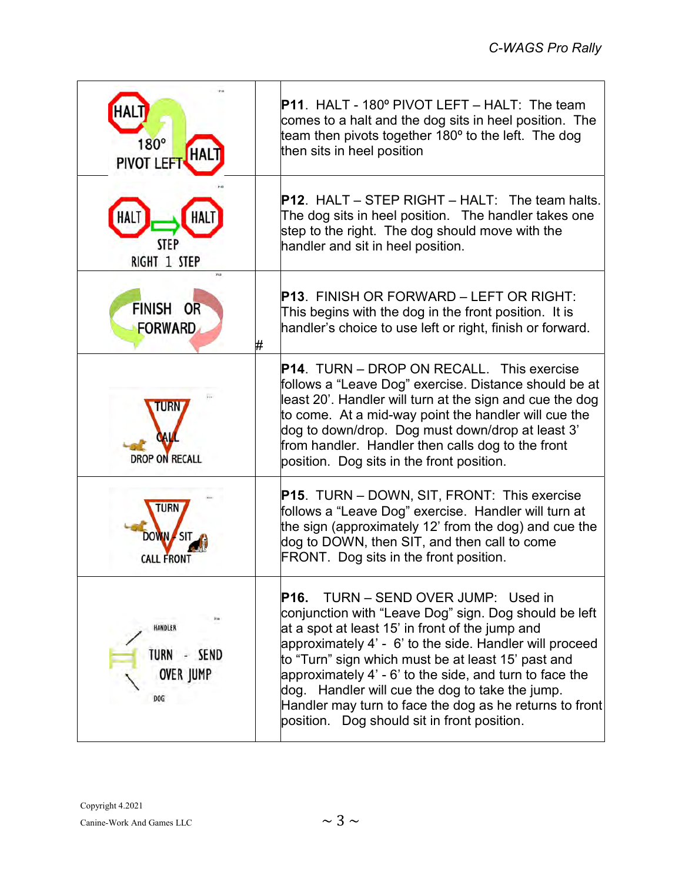| $180^\circ$<br><b>PIVOT LEF</b>                   | <b>P11. HALT - 180º PIVOT LEFT – HALT: The team</b><br>comes to a halt and the dog sits in heel position. The<br>team then pivots together 180° to the left. The dog<br>then sits in heel position                                                                                                                                                                                                                                                                                          |
|---------------------------------------------------|---------------------------------------------------------------------------------------------------------------------------------------------------------------------------------------------------------------------------------------------------------------------------------------------------------------------------------------------------------------------------------------------------------------------------------------------------------------------------------------------|
| <b>STEP</b><br>RIGHT 1 STEP                       | <b>P12.</b> HALT – STEP RIGHT – HALT: The team halts.<br>The dog sits in heel position. The handler takes one<br>step to the right. The dog should move with the<br>handler and sit in heel position.                                                                                                                                                                                                                                                                                       |
| FINISH OR<br><b>FORWARD</b><br>#                  | <b>P13. FINISH OR FORWARD – LEFT OR RIGHT:</b><br>This begins with the dog in the front position. It is<br>handler's choice to use left or right, finish or forward.                                                                                                                                                                                                                                                                                                                        |
| <b>DROP ON RECALL</b>                             | <b>P14. TURN – DROP ON RECALL. This exercise</b><br>follows a "Leave Dog" exercise. Distance should be at<br>least 20'. Handler will turn at the sign and cue the dog<br>to come. At a mid-way point the handler will cue the<br>dog to down/drop. Dog must down/drop at least 3'<br>from handler. Handler then calls dog to the front<br>position. Dog sits in the front position.                                                                                                         |
| CALL FRON <sup>-</sup>                            | <b>P15.</b> TURN – DOWN, SIT, FRONT: This exercise<br>follows a "Leave Dog" exercise. Handler will turn at<br>the sign (approximately 12' from the dog) and cue the<br>dog to DOWN, then SIT, and then call to come<br>FRONT. Dog sits in the front position.                                                                                                                                                                                                                               |
| HANDLER<br>TURN - SEND<br><b>OVER JUMP</b><br>DOG | TURN - SEND OVER JUMP: Used in<br>P16.<br>conjunction with "Leave Dog" sign. Dog should be left<br>at a spot at least 15' in front of the jump and<br>approximately 4' - 6' to the side. Handler will proceed<br>to "Turn" sign which must be at least 15' past and<br>approximately 4' - 6' to the side, and turn to face the<br>dog. Handler will cue the dog to take the jump.<br>Handler may turn to face the dog as he returns to front<br>position. Dog should sit in front position. |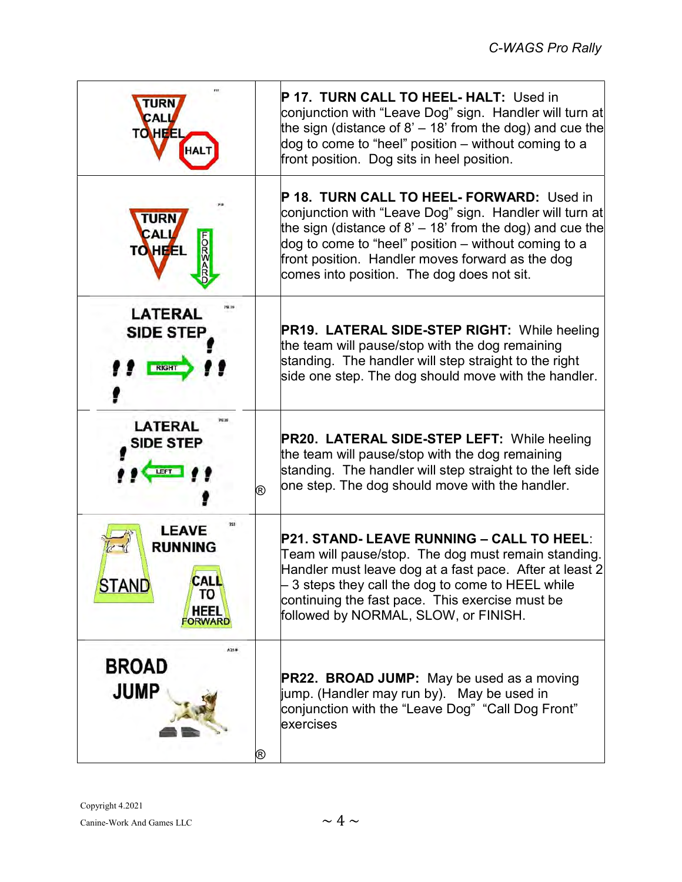| CALI<br><b>TO HEEL</b>                                                                       | P 17. TURN CALL TO HEEL-HALT: Used in<br>conjunction with "Leave Dog" sign.  Handler will turn at<br>the sign (distance of 8' $-$ 18' from the dog) and cue the<br>dog to come to "heel" position – without coming to a<br>front position. Dog sits in heel position.                                                        |
|----------------------------------------------------------------------------------------------|------------------------------------------------------------------------------------------------------------------------------------------------------------------------------------------------------------------------------------------------------------------------------------------------------------------------------|
| TURN<br>CALL<br>5007<br><b>TO HEEL</b>                                                       | P 18. TURN CALL TO HEEL- FORWARD: Used in<br>conjunction with "Leave Dog" sign. Handler will turn at<br>the sign (distance of 8' $-$ 18' from the dog) and cue the<br>dog to come to "heel" position – without coming to a<br>front position. Handler moves forward as the dog<br>comes into position. The dog does not sit. |
| <b>LATERAL</b><br><b>SIDE STEP</b><br><b>RIGHT</b>                                           | <b>PR19. LATERAL SIDE-STEP RIGHT: While heeling</b><br>the team will pause/stop with the dog remaining<br>standing. The handler will step straight to the right<br>side one step. The dog should move with the handler.                                                                                                      |
| <b>LATERAL</b><br><b>SIDE STEP</b><br>®                                                      | <b>PR20. LATERAL SIDE-STEP LEFT: While heeling</b><br>the team will pause/stop with the dog remaining<br>standing. The handler will step straight to the left side<br>one step. The dog should move with the handler.                                                                                                        |
| <b>LEAVE</b><br><b>RUNNING</b><br>CAL<br><b>SIAND</b><br>ΤО<br><b>HEEL</b><br><b>FORWARD</b> | <b>P21. STAND- LEAVE RUNNING – CALL TO HEEL:</b><br>Team will pause/stop. The dog must remain standing.<br>Handler must leave dog at a fast pace. After at least 2<br>$-$ 3 steps they call the dog to come to HEEL while<br>continuing the fast pace. This exercise must be<br>followed by NORMAL, SLOW, or FINISH.         |
| A214<br><b>BROAD</b><br><b>JUMP</b><br>®                                                     | <b>PR22. BROAD JUMP:</b> May be used as a moving<br>jump. (Handler may run by). May be used in<br>conjunction with the "Leave Dog" "Call Dog Front"<br>exercises                                                                                                                                                             |